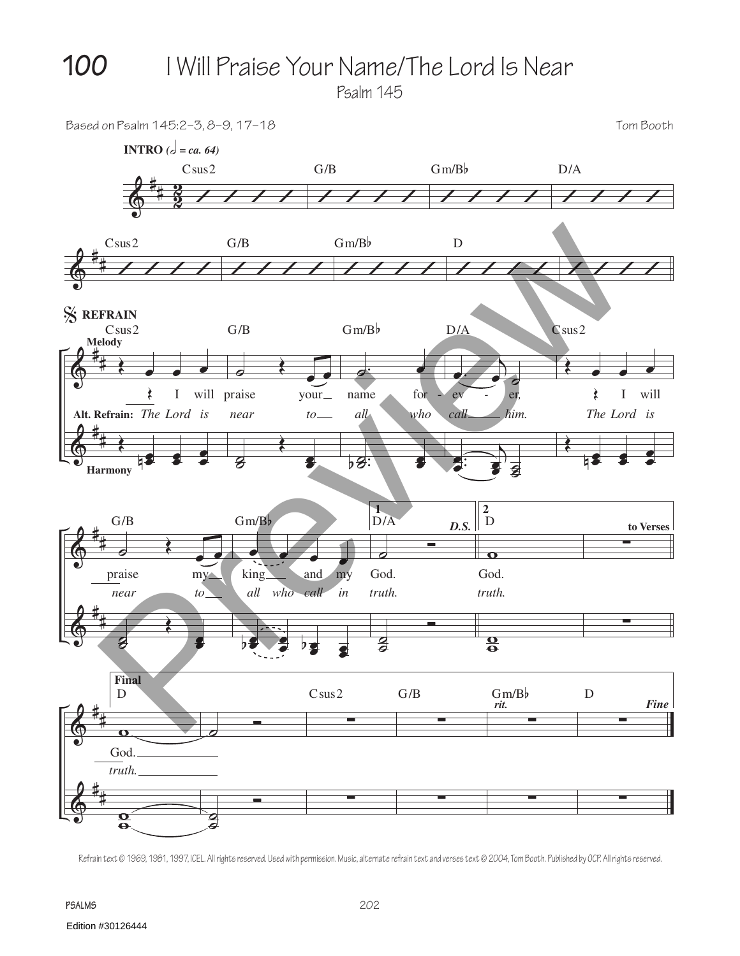**100** I Will Praise Your Name/The Lord Is Near

Psalm 145



Refrain text © 1969, 1981, 1997, ICEL. All rights reserved. Used with permission. Music, alternate refrain text and verses text © 2004, Tom Booth. Published by OCP. All rights reserved.